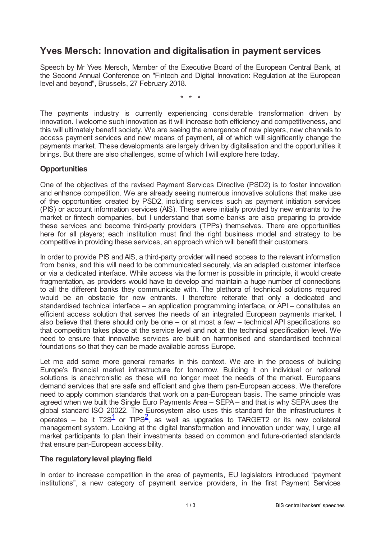# **Yves Mersch: Innovation and digitalisation in payment services**

Speech by Mr Yves Mersch, Member of the Executive Board of the European Central Bank, at the Second Annual Conference on "Fintech and Digital Innovation: Regulation at the European level and beyond", Brussels, 27 February 2018.

\* \* \*

The payments industry is currently experiencing considerable transformation driven by innovation. I welcome such innovation as it will increase both efficiency and competitiveness, and this will ultimately benefit society. We are seeing the emergence of new players, new channels to access payment services and new means of payment, all of which will significantly change the payments market. These developments are largely driven by digitalisation and the opportunities it brings. But there are also challenges, some of which I will explore here today.

## **Opportunities**

One of the objectives of the revised Payment Services Directive (PSD2) is to foster innovation and enhance competition. We are already seeing numerous innovative solutions that make use of the opportunities created by PSD2, including services such as payment initiation services (PIS) or account information services (AIS). These were initially provided by new entrants to the market or fintech companies, but I understand that some banks are also preparing to provide these services and become third-party providers (TPPs) themselves. There are opportunities here for all players; each institution must find the right business model and strategy to be competitive in providing these services, an approach which will benefit their customers.

In order to provide PIS and AIS, a third-party provider will need access to the relevant information from banks, and this will need to be communicated securely, via an adapted customer interface or via a dedicated interface. While access via the former is possible in principle, it would create fragmentation, as providers would have to develop and maintain a huge number of connections to all the different banks they communicate with. The plethora of technical solutions required would be an obstacle for new entrants. I therefore reiterate that only a dedicated and standardised technical interface – an application programming interface, or API – constitutes an efficient access solution that serves the needs of an integrated European payments market. I also believe that there should only be one – or at most a few – technical API specifications so that competition takes place at the service level and not at the technical specification level. We need to ensure that innovative services are built on harmonised and standardised technical foundations so that they can be made available across Europe.

Let me add some more general remarks in this context. We are in the process of building Europe's financial market infrastructure for tomorrow. Building it on individual or national solutions is anachronistic as these will no longer meet the needs of the market. Europeans demand services that are safe and efficient and give them pan-European access. We therefore need to apply common standards that work on a pan-European basis. The same principle was agreed when we built the Single Euro Payments Area – SEPA – and that is why SEPA uses the global standard ISO 20022. The Eurosystem also uses this standard for the infrastructures it operates – be it T[2](#page-2-1)S $^1$  $^1$  or TIPS $^2$ , as well as upgrades to TARGET2 or its new collateral management system. Looking at the digital transformation and innovation under way, I urge all market participants to plan their investments based on common and future-oriented standards that ensure pan-European accessibility.

## <span id="page-0-1"></span><span id="page-0-0"></span>**The regulatorylevel playing field**

In order to increase competition in the area of payments, EU legislators introduced "payment institutions", a new category of payment service providers, in the first Payment Services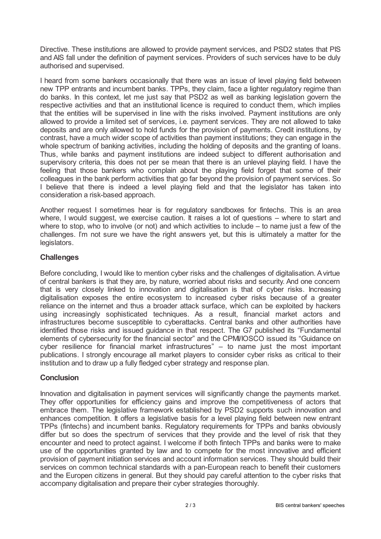Directive. These institutions are allowed to provide payment services, and PSD2 states that PIS and AIS fall under the definition of payment services. Providers of such services have to be duly authorised and supervised.

I heard from some bankers occasionally that there was an issue of level playing field between new TPP entrants and incumbent banks. TPPs, they claim, face a lighter regulatory regime than do banks. In this context, let me just say that PSD2 as well as banking legislation govern the respective activities and that an institutional licence is required to conduct them, which implies that the entities will be supervised in line with the risks involved. Payment institutions are only allowed to provide a limited set of services, i.e. payment services. They are not allowed to take deposits and are only allowed to hold funds for the provision of payments. Credit institutions, by contrast, have a much wider scope of activities than payment institutions; they can engage in the whole spectrum of banking activities, including the holding of deposits and the granting of loans. Thus, while banks and payment institutions are indeed subject to different authorisation and supervisory criteria, this does not per se mean that there is an unlevel playing field. I have the feeling that those bankers who complain about the playing field forget that some of their colleagues in the bank perform activities that go far beyond the provision of payment services. So I believe that there is indeed a level playing field and that the legislator has taken into consideration a risk-based approach.

Another request I sometimes hear is for regulatory sandboxes for fintechs. This is an area where, I would suggest, we exercise caution. It raises a lot of questions – where to start and where to stop, who to involve (or not) and which activities to include – to name just a few of the challenges. I'm not sure we have the right answers yet, but this is ultimately a matter for the legislators.

## **Challenges**

Before concluding, I would like to mention cyber risks and the challenges of digitalisation. Avirtue of central bankers is that they are, by nature, worried about risks and security. And one concern that is very closely linked to innovation and digitalisation is that of cyber risks. Increasing digitalisation exposes the entire ecosystem to increased cyber risks because of a greater reliance on the internet and thus a broader attack surface, which can be exploited by hackers using increasingly sophisticated techniques. As a result, financial market actors and infrastructures become susceptible to cyberattacks. Central banks and other authorities have identified those risks and issued guidance in that respect. The G7 published its "Fundamental elements of cybersecurity for the financial sector" and the CPMI/IOSCO issued its "Guidance on cyber resilience for financial market infrastructures" – to name just the most important publications. I strongly encourage all market players to consider cyber risks as critical to their institution and to draw up a fully fledged cyber strategy and response plan.

## **Conclusion**

Innovation and digitalisation in payment services will significantly change the payments market. They offer opportunities for efficiency gains and improve the competitiveness of actors that embrace them. The legislative framework established by PSD2 supports such innovation and enhances competition. It offers a legislative basis for a level playing field between new entrant TPPs (fintechs) and incumbent banks. Regulatory requirements for TPPs and banks obviously differ but so does the spectrum of services that they provide and the level of risk that they encounter and need to protect against. I welcome if both fintech TPPs and banks were to make use of the opportunities granted by law and to compete for the most innovative and efficient provision of payment initiation services and account information services. They should build their services on common technical standards with a pan-European reach to benefit their customers and the Europen citizens in general. But they should pay careful attention to the cyber risks that accompany digitalisation and prepare their cyber strategies thoroughly.